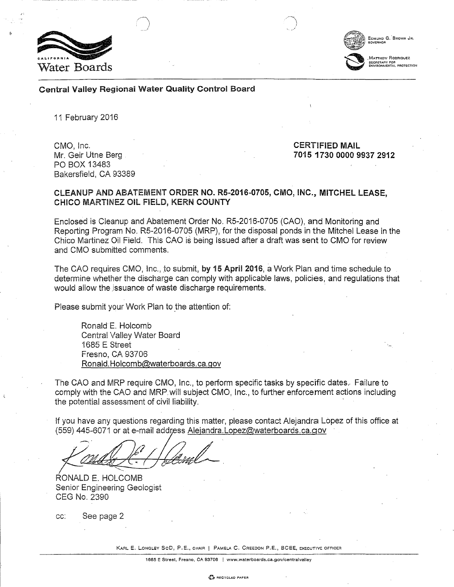



Central Valley Regional Water Quality Control Board

11 February 2016

Mr. Geir Utne Berg PO BOX 13483 Bakersfield, CA 93389

CMO, Inc. CERTIFIED MAIL 7015 1730 0000 9937 2912

#### CLEANUP AND ABATEMENT ORDER NO. RS-2016-0705, CMO, INC., MITCHEL LEASE, CHICO MARTINEZ OIL FIELD, KERN COUNTY

Enclosed is Cleanup and Abatement Order No. R5-2016-0705 (CAO), and Monitoring and Reporting Program No. RS-2016-0705 (MRP), for the disposal ponds in the Mitchel Lease in the Chico Martinez Oil Field. This CAO is being Issued after a draft was sent to CMO for review and CMO submitted comments.

The CAO requires CMO, Inc., to submit, by 15 April 2016, a Work Plan and time schedule to determine whether the discharge can comply with applicable laws, policies, and regulations that would allow the issuance of waste discharge requirements.

Please submit your Work Plan to the attention of:

Ronald E. Holcomb Central Valley Water Board 1685 E Street [Fresno, CA 93706](mailto:Ronald.Holcomb@waterboards.ca.gov)  Ronald. Holcomb@waterboards. ca.gov

The CAO and MRP require CMO, Inc., to perform specific tasks by specific dates .. Failure to comply with the CAO and MRP. will subject CMO, Inc., to further enforcement actions including the potential assessment of civil liability.

If you have any questions regarding [this matter, please contact Alejandra Lo](mailto:Alejandra.Lopez@waterboards.ca.gov)pez of this office at (559) 445-6071 or at e-mail address Alejandra.Lopez@waterboards.ca.gov

"---

RONALD E. HOLCOMB Senior Engineering Geologist CEG No. 2390

cc: See page 2

KARL E. LONGLEY SCD, P.E., CHAIR | PAMELA C. CREEDON P.E., BCEE, EXECUTIVE OFFICER

1685 E Street, Fresno, CA 93706 I www.waterboards.ca.gov/centralvalley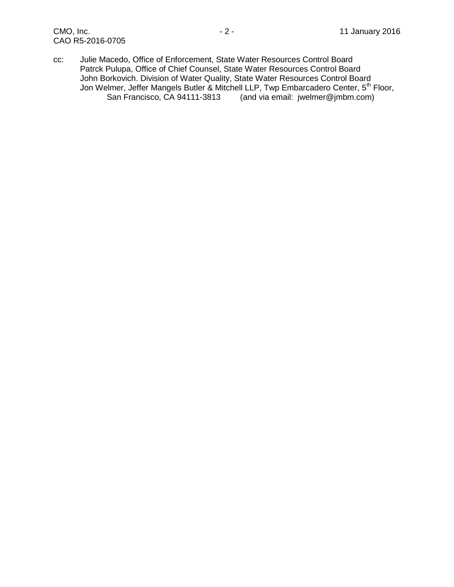cc: Julie Macedo, Office of Enforcement, State Water Resources Control Board Patrck Pulupa, Office of Chief Counsel, State Water Resources Control Board John Borkovich. Division of Water Quality, State Water Resources Control Board Jon Welmer, Jeffer Mangels Butler & Mitchell LLP, Twp Embarcadero Center, 5<sup>th</sup> Floor, San Francisco, CA 94111-3813 (and via email: jwelmer@jmbm.com)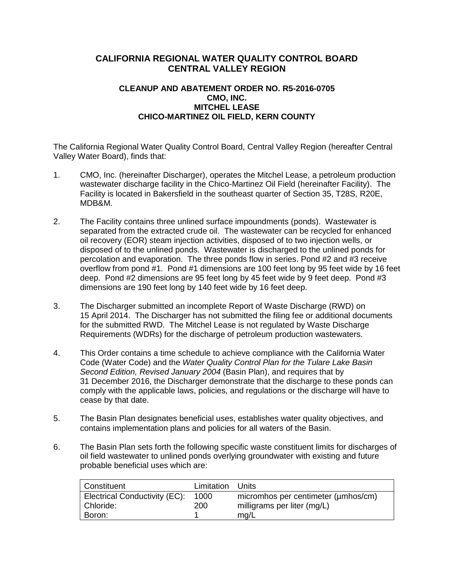# **CALIFORNIA REGIONAL WATER QUALITY CONTROL BOARD CENTRAL VALLEY REGION**

# **CLEANUP AND ABATEMENT ORDER NO. R5-2016-0705 CMO, INC. MITCHEL LEASE CHICO-MARTINEZ OIL FIELD, KERN COUNTY**

The California Regional Water Quality Control Board, Central Valley Region (hereafter Central Valley Water Board), finds that:

- 1. CMO, Inc. (hereinafter Discharger), operates the Mitchel Lease, a petroleum production wastewater discharge facility in the Chico-Martinez Oil Field (hereinafter Facility). The Facility is located in Bakersfield in the southeast quarter of Section 35, T28S, R20E, MDB&M.
- 2. The Facility contains three unlined surface impoundments (ponds). Wastewater is separated from the extracted crude oil. The wastewater can be recycled for enhanced oil recovery (EOR) steam injection activities, disposed of to two injection wells, or disposed of to the unlined ponds. Wastewater is discharged to the unlined ponds for percolation and evaporation. The three ponds flow in series. Pond #2 and #3 receive overflow from pond #1. Pond #1 dimensions are 100 feet long by 95 feet wide by 16 feet deep. Pond #2 dimensions are 95 feet long by 45 feet wide by 9 feet deep. Pond #3 dimensions are 190 feet long by 140 feet wide by 16 feet deep.
- 3. The Discharger submitted an incomplete Report of Waste Discharge (RWD) on 15 April 2014. The Discharger has not submitted the filing fee or additional documents for the submitted RWD. The Mitchel Lease is not regulated by Waste Discharge Requirements (WDRs) for the discharge of petroleum production wastewaters.
- 4. This Order contains a time schedule to achieve compliance with the California Water Code (Water Code) and the *Water Quality Control Plan for the Tulare Lake Basin Second Edition, Revised January 2004* (Basin Plan), and requires that by 31 December 2016, the Discharger demonstrate that the discharge to these ponds can comply with the applicable laws, policies, and regulations or the discharge will have to cease by that date.
- 5. The Basin Plan designates beneficial uses, establishes water quality objectives, and contains implementation plans and policies for all waters of the Basin.
- 6. The Basin Plan sets forth the following specific waste constituent limits for discharges of oil field wastewater to unlined ponds overlying groundwater with existing and future probable beneficial uses which are:

| Constituent                   | Limitation | Units                               |
|-------------------------------|------------|-------------------------------------|
| Electrical Conductivity (EC): | 1000       | micromhos per centimeter (umhos/cm) |
| Chloride:                     | 200        | milligrams per liter (mg/L)         |
| Boron:                        |            | mg/L                                |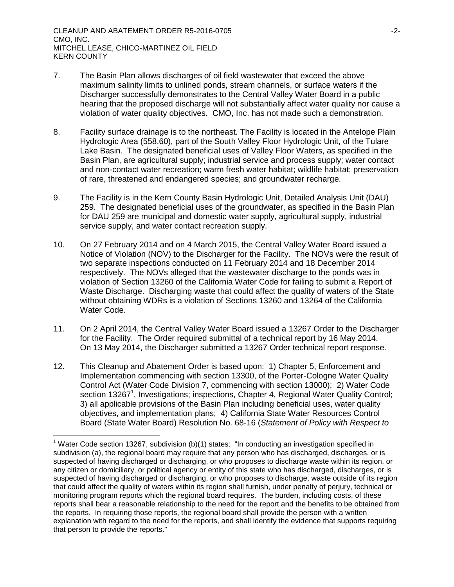$\overline{a}$ 

- 7. The Basin Plan allows discharges of oil field wastewater that exceed the above maximum salinity limits to unlined ponds, stream channels, or surface waters if the Discharger successfully demonstrates to the Central Valley Water Board in a public hearing that the proposed discharge will not substantially affect water quality nor cause a violation of water quality objectives. CMO, Inc. has not made such a demonstration.
- 8. Facility surface drainage is to the northeast. The Facility is located in the Antelope Plain Hydrologic Area (558.60), part of the South Valley Floor Hydrologic Unit, of the Tulare Lake Basin. The designated beneficial uses of Valley Floor Waters, as specified in the Basin Plan, are agricultural supply; industrial service and process supply; water contact and non-contact water recreation; warm fresh water habitat; wildlife habitat; preservation of rare, threatened and endangered species; and groundwater recharge.
- 9. The Facility is in the Kern County Basin Hydrologic Unit, Detailed Analysis Unit (DAU) 259. The designated beneficial uses of the groundwater, as specified in the Basin Plan for DAU 259 are municipal and domestic water supply, agricultural supply, industrial service supply, and water contact recreation supply.
- 10. On 27 February 2014 and on 4 March 2015, the Central Valley Water Board issued a Notice of Violation (NOV) to the Discharger for the Facility. The NOVs were the result of two separate inspections conducted on 11 February 2014 and 18 December 2014 respectively. The NOVs alleged that the wastewater discharge to the ponds was in violation of Section 13260 of the California Water Code for failing to submit a Report of Waste Discharge. Discharging waste that could affect the quality of waters of the State without obtaining WDRs is a violation of Sections 13260 and 13264 of the California Water Code.
- 11. On 2 April 2014, the Central Valley Water Board issued a 13267 Order to the Discharger for the Facility. The Order required submittal of a technical report by 16 May 2014. On 13 May 2014, the Discharger submitted a 13267 Order technical report response.
- 12. This Cleanup and Abatement Order is based upon: 1) Chapter 5, Enforcement and Implementation commencing with section 13300, of the Porter-Cologne Water Quality Control Act (Water Code Division 7, commencing with section 13000); 2) Water Code section 13267<sup>1</sup>, Investigations; inspections, Chapter 4, Regional Water Quality Control; 3) all applicable provisions of the Basin Plan including beneficial uses, water quality objectives, and implementation plans; 4) California State Water Resources Control Board (State Water Board) Resolution No. 68-16 (*Statement of Policy with Respect to*

<sup>&</sup>lt;sup>1</sup> Water Code section 13267, subdivision (b)(1) states: "In conducting an investigation specified in subdivision (a), the regional board may require that any person who has discharged, discharges, or is suspected of having discharged or discharging, or who proposes to discharge waste within its region, or any citizen or domiciliary, or political agency or entity of this state who has discharged, discharges, or is suspected of having discharged or discharging, or who proposes to discharge, waste outside of its region that could affect the quality of waters within its region shall furnish, under penalty of perjury, technical or monitoring program reports which the regional board requires. The burden, including costs, of these reports shall bear a reasonable relationship to the need for the report and the benefits to be obtained from the reports. In requiring those reports, the regional board shall provide the person with a written explanation with regard to the need for the reports, and shall identify the evidence that supports requiring that person to provide the reports."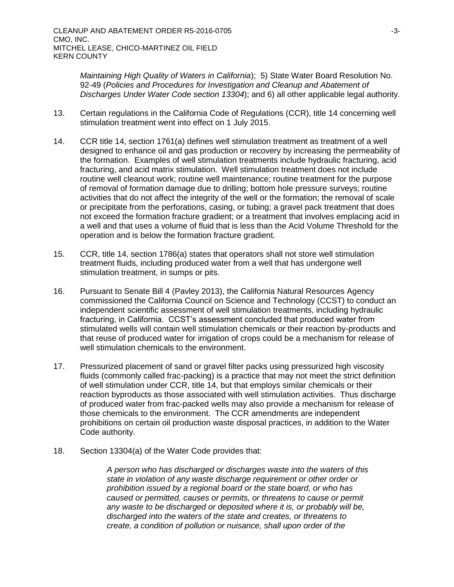*Maintaining High Quality of Waters in California*); 5) State Water Board Resolution No. 92-49 (*Policies and Procedures for Investigation and Cleanup and Abatement of Discharges Under Water Code section 13304*); and 6) all other applicable legal authority.

- 13. Certain regulations in the California Code of Regulations (CCR), title 14 concerning well stimulation treatment went into effect on 1 July 2015.
- 14. CCR title 14, section 1761(a) defines well stimulation treatment as treatment of a well designed to enhance oil and gas production or recovery by increasing the permeability of the formation. Examples of well stimulation treatments include hydraulic fracturing, acid fracturing, and acid matrix stimulation. Well stimulation treatment does not include routine well cleanout work; routine well maintenance; routine treatment for the purpose of removal of formation damage due to drilling; bottom hole pressure surveys; routine activities that do not affect the integrity of the well or the formation; the removal of scale or precipitate from the perforations, casing, or tubing; a gravel pack treatment that does not exceed the formation fracture gradient; or a treatment that involves emplacing acid in a well and that uses a volume of fluid that is less than the Acid Volume Threshold for the operation and is below the formation fracture gradient.
- 15. CCR, title 14, section 1786(a) states that operators shall not store well stimulation treatment fluids, including produced water from a well that has undergone well stimulation treatment, in sumps or pits.
- 16. Pursuant to Senate Bill 4 (Pavley 2013), the California Natural Resources Agency commissioned the California Council on Science and Technology (CCST) to conduct an independent scientific assessment of well stimulation treatments, including hydraulic fracturing, in California. CCST's assessment concluded that produced water from stimulated wells will contain well stimulation chemicals or their reaction by-products and that reuse of produced water for irrigation of crops could be a mechanism for release of well stimulation chemicals to the environment.
- 17. Pressurized placement of sand or gravel filter packs using pressurized high viscosity fluids (commonly called frac-packing) is a practice that may not meet the strict definition of well stimulation under CCR, title 14, but that employs similar chemicals or their reaction byproducts as those associated with well stimulation activities. Thus discharge of produced water from frac-packed wells may also provide a mechanism for release of those chemicals to the environment. The CCR amendments are independent prohibitions on certain oil production waste disposal practices, in addition to the Water Code authority.
- 18. Section 13304(a) of the Water Code provides that:

*A person who has discharged or discharges waste into the waters of this state in violation of any waste discharge requirement or other order or prohibition issued by a regional board or the state board, or who has caused or permitted, causes or permits, or threatens to cause or permit any waste to be discharged or deposited where it is, or probably will be, discharged into the waters of the state and creates, or threatens to create, a condition of pollution or nuisance, shall upon order of the*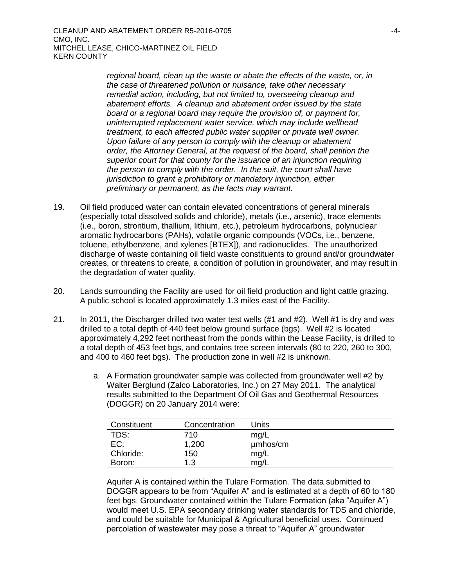*regional board, clean up the waste or abate the effects of the waste, or, in the case of threatened pollution or nuisance, take other necessary remedial action, including, but not limited to, overseeing cleanup and abatement efforts. A cleanup and abatement order issued by the state board or a regional board may require the provision of, or payment for, uninterrupted replacement water service, which may include wellhead treatment, to each affected public water supplier or private well owner. Upon failure of any person to comply with the cleanup or abatement order, the Attorney General, at the request of the board, shall petition the superior court for that county for the issuance of an injunction requiring the person to comply with the order. In the suit, the court shall have jurisdiction to grant a prohibitory or mandatory injunction, either preliminary or permanent, as the facts may warrant.*

- 19. Oil field produced water can contain elevated concentrations of general minerals (especially total dissolved solids and chloride), metals (i.e., arsenic), trace elements (i.e., boron, strontium, thallium, lithium, etc.), petroleum hydrocarbons, polynuclear aromatic hydrocarbons (PAHs), volatile organic compounds (VOCs, i.e., benzene, toluene, ethylbenzene, and xylenes [BTEX]), and radionuclides. The unauthorized discharge of waste containing oil field waste constituents to ground and/or groundwater creates, or threatens to create, a condition of pollution in groundwater, and may result in the degradation of water quality.
- 20. Lands surrounding the Facility are used for oil field production and light cattle grazing. A public school is located approximately 1.3 miles east of the Facility.
- 21. In 2011, the Discharger drilled two water test wells (#1 and #2). Well #1 is dry and was drilled to a total depth of 440 feet below ground surface (bgs). Well #2 is located approximately 4,292 feet northeast from the ponds within the Lease Facility, is drilled to a total depth of 453 feet bgs, and contains tree screen intervals (80 to 220, 260 to 300, and 400 to 460 feet bgs). The production zone in well #2 is unknown.
	- a. A Formation groundwater sample was collected from groundwater well #2 by Walter Berglund (Zalco Laboratories, Inc.) on 27 May 2011. The analytical results submitted to the Department Of Oil Gas and Geothermal Resources (DOGGR) on 20 January 2014 were:

| Constituent | Concentration | Units    |
|-------------|---------------|----------|
| TDS:        | 710           | mq/L     |
| EC:         | 1,200         | umhos/cm |
| Chloride:   | 150           | mg/L     |
| Boron:      | 1.3           | mg/L     |

Aquifer A is contained within the Tulare Formation. The data submitted to DOGGR appears to be from "Aquifer A" and is estimated at a depth of 60 to 180 feet bgs. Groundwater contained within the Tulare Formation (aka "Aquifer A") would meet U.S. EPA secondary drinking water standards for TDS and chloride, and could be suitable for Municipal & Agricultural beneficial uses. Continued percolation of wastewater may pose a threat to "Aquifer A" groundwater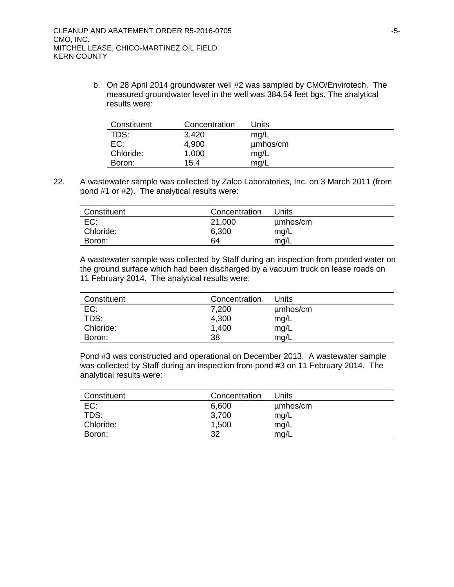b. On 28 April 2014 groundwater well #2 was sampled by CMO/Envirotech. The measured groundwater level in the well was 384.54 feet bgs. The analytical results were:

| Constituent | Concentration | Units    |
|-------------|---------------|----------|
| TDS:        | 3,420         | mg/L     |
| EC:         | 4,900         | umhos/cm |
| Chloride:   | 1,000         | mg/L     |
| Boron:      | 15.4          | mq/L     |

22. A wastewater sample was collected by Zalco Laboratories, Inc. on 3 March 2011 (from pond #1 or #2). The analytical results were:

| ∣ Constituent | Concentration | Units    |
|---------------|---------------|----------|
| EC:           | 21,000        | µmbos/cm |
| Chloride:     | 6,300         | mg/L     |
| Boron:        | 64            | mg/L     |

A wastewater sample was collected by Staff during an inspection from ponded water on the ground surface which had been discharged by a vacuum truck on lease roads on 11 February 2014. The analytical results were:

| Constituent | Concentration | Units    |
|-------------|---------------|----------|
| EC:         | 7,200         | umhos/cm |
| TDS:        | 4,300         | mg/L     |
| Chloride:   | 1,400         | mg/L     |
| Boron:      | 38            | mq/L     |

Pond #3 was constructed and operational on December 2013. A wastewater sample was collected by Staff during an inspection from pond #3 on 11 February 2014. The analytical results were:

| <b>Constituent</b> | Concentration | Units    |
|--------------------|---------------|----------|
| EC:                | 6,600         | µmbos/cm |
| TDS:               | 3,700         | mg/L     |
| Chloride:          | 1,500         | mg/L     |
| Boron:             | 32            | mq/L     |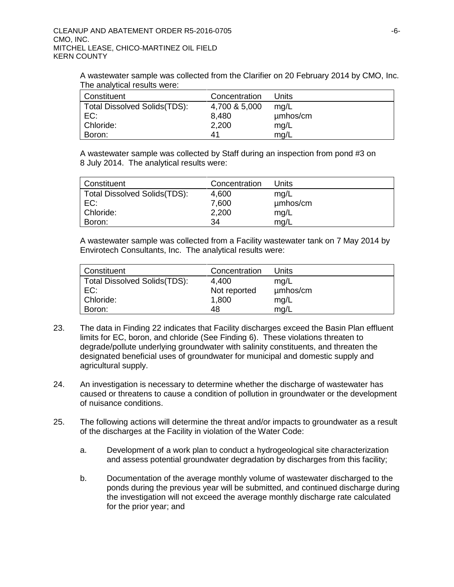A wastewater sample was collected from the Clarifier on 20 February 2014 by CMO, Inc. The analytical results were:

| Constituent                  | Concentration | Units    |
|------------------------------|---------------|----------|
| Total Dissolved Solids(TDS): | 4,700 & 5,000 | mq/L     |
| EC:                          | 8,480         | umhos/cm |
| Chloride:                    | 2,200         | mg/L     |
| Boron:                       | 41            | mg/L     |

A wastewater sample was collected by Staff during an inspection from pond #3 on 8 July 2014. The analytical results were:

| Constituent                  | Concentration | Units    |
|------------------------------|---------------|----------|
| Total Dissolved Solids(TDS): | 4,600         | mq/L     |
| EC:                          | 7,600         | umhos/cm |
| Chloride:                    | 2,200         | mg/L     |
| Boron:                       | 34            | mq/L     |

A wastewater sample was collected from a Facility wastewater tank on 7 May 2014 by Envirotech Consultants, Inc. The analytical results were:

| Constituent                          | Concentration | Units    |
|--------------------------------------|---------------|----------|
| <b>Total Dissolved Solids (TDS):</b> | 4.400         | mq/L     |
| EC:                                  | Not reported  | µmbos/cm |
| Chloride:                            | 1,800         | mg/L     |
| Boron:                               | 48            | mq/L     |

- 23. The data in Finding 22 indicates that Facility discharges exceed the Basin Plan effluent limits for EC, boron, and chloride (See Finding 6). These violations threaten to degrade/pollute underlying groundwater with salinity constituents, and threaten the designated beneficial uses of groundwater for municipal and domestic supply and agricultural supply.
- 24. An investigation is necessary to determine whether the discharge of wastewater has caused or threatens to cause a condition of pollution in groundwater or the development of nuisance conditions.
- 25. The following actions will determine the threat and/or impacts to groundwater as a result of the discharges at the Facility in violation of the Water Code:
	- a. Development of a work plan to conduct a hydrogeological site characterization and assess potential groundwater degradation by discharges from this facility;
	- b. Documentation of the average monthly volume of wastewater discharged to the ponds during the previous year will be submitted, and continued discharge during the investigation will not exceed the average monthly discharge rate calculated for the prior year; and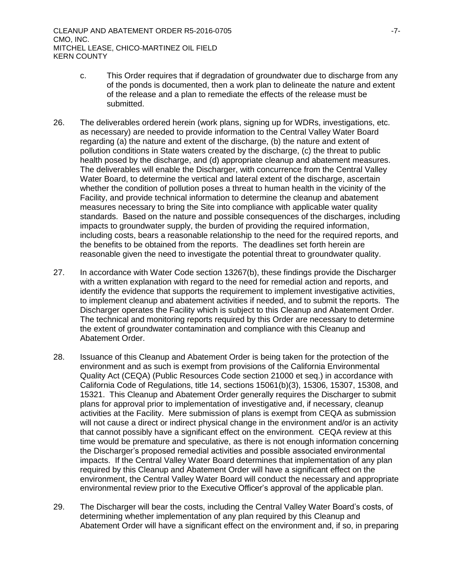- c. This Order requires that if degradation of groundwater due to discharge from any of the ponds is documented, then a work plan to delineate the nature and extent of the release and a plan to remediate the effects of the release must be submitted.
- 26. The deliverables ordered herein (work plans, signing up for WDRs, investigations, etc. as necessary) are needed to provide information to the Central Valley Water Board regarding (a) the nature and extent of the discharge, (b) the nature and extent of pollution conditions in State waters created by the discharge, (c) the threat to public health posed by the discharge, and (d) appropriate cleanup and abatement measures. The deliverables will enable the Discharger, with concurrence from the Central Valley Water Board, to determine the vertical and lateral extent of the discharge, ascertain whether the condition of pollution poses a threat to human health in the vicinity of the Facility, and provide technical information to determine the cleanup and abatement measures necessary to bring the Site into compliance with applicable water quality standards. Based on the nature and possible consequences of the discharges, including impacts to groundwater supply, the burden of providing the required information, including costs, bears a reasonable relationship to the need for the required reports, and the benefits to be obtained from the reports. The deadlines set forth herein are reasonable given the need to investigate the potential threat to groundwater quality.
- 27. In accordance with Water Code section 13267(b), these findings provide the Discharger with a written explanation with regard to the need for remedial action and reports, and identify the evidence that supports the requirement to implement investigative activities, to implement cleanup and abatement activities if needed, and to submit the reports. The Discharger operates the Facility which is subject to this Cleanup and Abatement Order. The technical and monitoring reports required by this Order are necessary to determine the extent of groundwater contamination and compliance with this Cleanup and Abatement Order.
- 28. Issuance of this Cleanup and Abatement Order is being taken for the protection of the environment and as such is exempt from provisions of the California Environmental Quality Act (CEQA) (Public Resources Code section 21000 et seq.) in accordance with California Code of Regulations, title 14, sections 15061(b)(3), 15306, 15307, 15308, and 15321. This Cleanup and Abatement Order generally requires the Discharger to submit plans for approval prior to implementation of investigative and, if necessary, cleanup activities at the Facility. Mere submission of plans is exempt from CEQA as submission will not cause a direct or indirect physical change in the environment and/or is an activity that cannot possibly have a significant effect on the environment. CEQA review at this time would be premature and speculative, as there is not enough information concerning the Discharger's proposed remedial activities and possible associated environmental impacts. If the Central Valley Water Board determines that implementation of any plan required by this Cleanup and Abatement Order will have a significant effect on the environment, the Central Valley Water Board will conduct the necessary and appropriate environmental review prior to the Executive Officer's approval of the applicable plan.
- 29. The Discharger will bear the costs, including the Central Valley Water Board's costs, of determining whether implementation of any plan required by this Cleanup and Abatement Order will have a significant effect on the environment and, if so, in preparing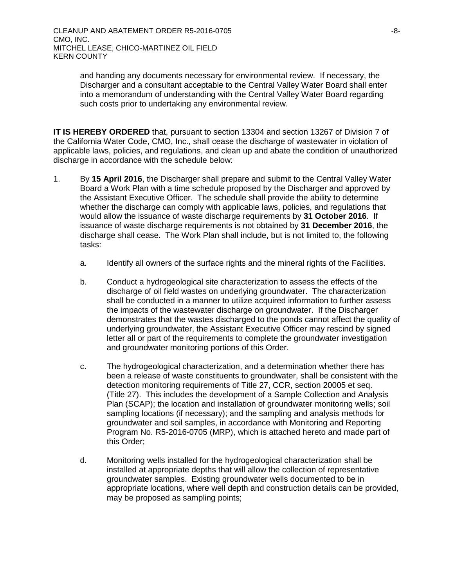and handing any documents necessary for environmental review. If necessary, the Discharger and a consultant acceptable to the Central Valley Water Board shall enter into a memorandum of understanding with the Central Valley Water Board regarding such costs prior to undertaking any environmental review.

**IT IS HEREBY ORDERED** that, pursuant to section 13304 and section 13267 of Division 7 of the California Water Code, CMO, Inc., shall cease the discharge of wastewater in violation of applicable laws, policies, and regulations, and clean up and abate the condition of unauthorized discharge in accordance with the schedule below:

- 1. By **15 April 2016**, the Discharger shall prepare and submit to the Central Valley Water Board a Work Plan with a time schedule proposed by the Discharger and approved by the Assistant Executive Officer. The schedule shall provide the ability to determine whether the discharge can comply with applicable laws, policies, and regulations that would allow the issuance of waste discharge requirements by **31 October 2016**. If issuance of waste discharge requirements is not obtained by **31 December 2016**, the discharge shall cease. The Work Plan shall include, but is not limited to, the following tasks:
	- a. Identify all owners of the surface rights and the mineral rights of the Facilities.
	- b. Conduct a hydrogeological site characterization to assess the effects of the discharge of oil field wastes on underlying groundwater. The characterization shall be conducted in a manner to utilize acquired information to further assess the impacts of the wastewater discharge on groundwater. If the Discharger demonstrates that the wastes discharged to the ponds cannot affect the quality of underlying groundwater, the Assistant Executive Officer may rescind by signed letter all or part of the requirements to complete the groundwater investigation and groundwater monitoring portions of this Order.
	- c. The hydrogeological characterization, and a determination whether there has been a release of waste constituents to groundwater, shall be consistent with the detection monitoring requirements of Title 27, CCR, section 20005 et seq. (Title 27). This includes the development of a Sample Collection and Analysis Plan (SCAP); the location and installation of groundwater monitoring wells; soil sampling locations (if necessary); and the sampling and analysis methods for groundwater and soil samples, in accordance with Monitoring and Reporting Program No. R5-2016-0705 (MRP), which is attached hereto and made part of this Order;
	- d. Monitoring wells installed for the hydrogeological characterization shall be installed at appropriate depths that will allow the collection of representative groundwater samples. Existing groundwater wells documented to be in appropriate locations, where well depth and construction details can be provided, may be proposed as sampling points;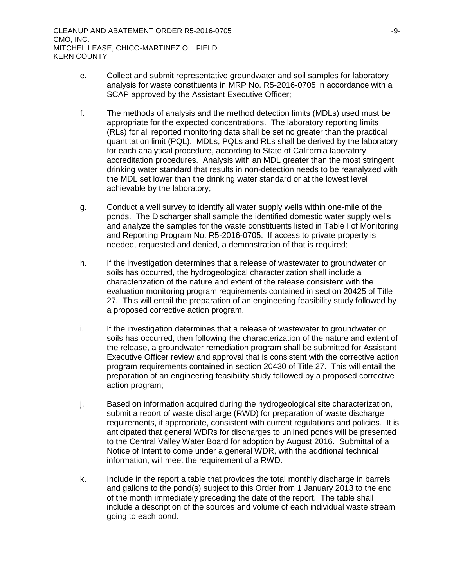- e. Collect and submit representative groundwater and soil samples for laboratory analysis for waste constituents in MRP No. R5-2016-0705 in accordance with a SCAP approved by the Assistant Executive Officer;
- f. The methods of analysis and the method detection limits (MDLs) used must be appropriate for the expected concentrations. The laboratory reporting limits (RLs) for all reported monitoring data shall be set no greater than the practical quantitation limit (PQL). MDLs, PQLs and RLs shall be derived by the laboratory for each analytical procedure, according to State of California laboratory accreditation procedures. Analysis with an MDL greater than the most stringent drinking water standard that results in non-detection needs to be reanalyzed with the MDL set lower than the drinking water standard or at the lowest level achievable by the laboratory;
- g. Conduct a well survey to identify all water supply wells within one-mile of the ponds. The Discharger shall sample the identified domestic water supply wells and analyze the samples for the waste constituents listed in Table I of Monitoring and Reporting Program No. R5-2016-0705. If access to private property is needed, requested and denied, a demonstration of that is required;
- h. If the investigation determines that a release of wastewater to groundwater or soils has occurred, the hydrogeological characterization shall include a characterization of the nature and extent of the release consistent with the evaluation monitoring program requirements contained in section 20425 of Title 27. This will entail the preparation of an engineering feasibility study followed by a proposed corrective action program.
- i. If the investigation determines that a release of wastewater to groundwater or soils has occurred, then following the characterization of the nature and extent of the release, a groundwater remediation program shall be submitted for Assistant Executive Officer review and approval that is consistent with the corrective action program requirements contained in section 20430 of Title 27. This will entail the preparation of an engineering feasibility study followed by a proposed corrective action program;
- j. Based on information acquired during the hydrogeological site characterization, submit a report of waste discharge (RWD) for preparation of waste discharge requirements, if appropriate, consistent with current regulations and policies. It is anticipated that general WDRs for discharges to unlined ponds will be presented to the Central Valley Water Board for adoption by August 2016. Submittal of a Notice of Intent to come under a general WDR, with the additional technical information, will meet the requirement of a RWD.
- k. Include in the report a table that provides the total monthly discharge in barrels and gallons to the pond(s) subject to this Order from 1 January 2013 to the end of the month immediately preceding the date of the report. The table shall include a description of the sources and volume of each individual waste stream going to each pond.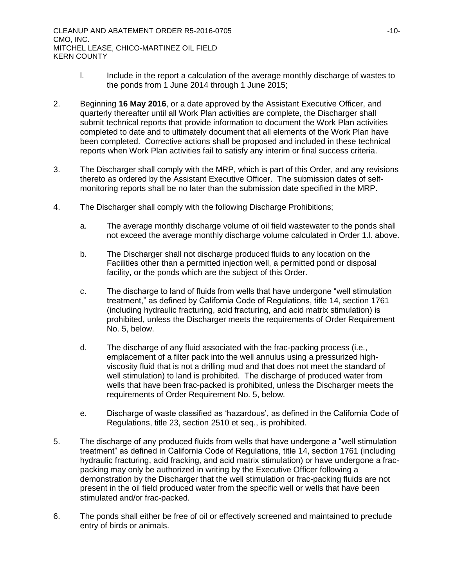- l. Include in the report a calculation of the average monthly discharge of wastes to the ponds from 1 June 2014 through 1 June 2015;
- 2. Beginning **16 May 2016**, or a date approved by the Assistant Executive Officer, and quarterly thereafter until all Work Plan activities are complete, the Discharger shall submit technical reports that provide information to document the Work Plan activities completed to date and to ultimately document that all elements of the Work Plan have been completed. Corrective actions shall be proposed and included in these technical reports when Work Plan activities fail to satisfy any interim or final success criteria.
- 3. The Discharger shall comply with the MRP, which is part of this Order, and any revisions thereto as ordered by the Assistant Executive Officer. The submission dates of selfmonitoring reports shall be no later than the submission date specified in the MRP.
- 4. The Discharger shall comply with the following Discharge Prohibitions;
	- a. The average monthly discharge volume of oil field wastewater to the ponds shall not exceed the average monthly discharge volume calculated in Order 1.l. above.
	- b. The Discharger shall not discharge produced fluids to any location on the Facilities other than a permitted injection well, a permitted pond or disposal facility, or the ponds which are the subject of this Order.
	- c. The discharge to land of fluids from wells that have undergone "well stimulation treatment," as defined by California Code of Regulations, title 14, section 1761 (including hydraulic fracturing, acid fracturing, and acid matrix stimulation) is prohibited, unless the Discharger meets the requirements of Order Requirement No. 5, below.
	- d. The discharge of any fluid associated with the frac-packing process (i.e., emplacement of a filter pack into the well annulus using a pressurized highviscosity fluid that is not a drilling mud and that does not meet the standard of well stimulation) to land is prohibited. The discharge of produced water from wells that have been frac-packed is prohibited, unless the Discharger meets the requirements of Order Requirement No. 5, below.
	- e. Discharge of waste classified as 'hazardous', as defined in the California Code of Regulations, title 23, section 2510 et seq., is prohibited.
- 5. The discharge of any produced fluids from wells that have undergone a "well stimulation treatment" as defined in California Code of Regulations, title 14, section 1761 (including hydraulic fracturing, acid fracking, and acid matrix stimulation) or have undergone a fracpacking may only be authorized in writing by the Executive Officer following a demonstration by the Discharger that the well stimulation or frac-packing fluids are not present in the oil field produced water from the specific well or wells that have been stimulated and/or frac-packed.
- 6. The ponds shall either be free of oil or effectively screened and maintained to preclude entry of birds or animals.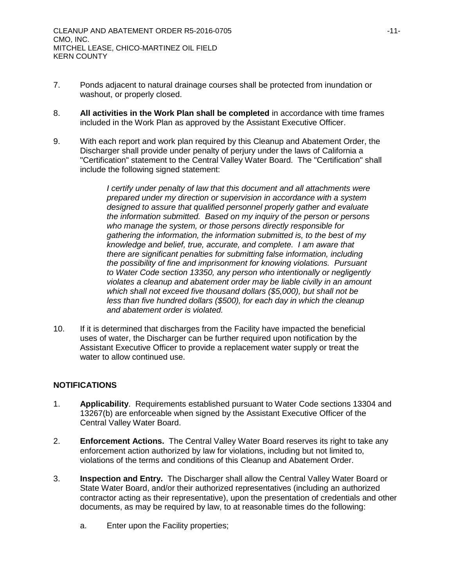- 7. Ponds adjacent to natural drainage courses shall be protected from inundation or washout, or properly closed.
- 8. **All activities in the Work Plan shall be completed** in accordance with time frames included in the Work Plan as approved by the Assistant Executive Officer.
- 9. With each report and work plan required by this Cleanup and Abatement Order, the Discharger shall provide under penalty of perjury under the laws of California a "Certification" statement to the Central Valley Water Board. The "Certification" shall include the following signed statement:

*I* certify under penalty of law that this document and all attachments were *prepared under my direction or supervision in accordance with a system designed to assure that qualified personnel properly gather and evaluate the information submitted. Based on my inquiry of the person or persons who manage the system, or those persons directly responsible for gathering the information, the information submitted is, to the best of my knowledge and belief, true, accurate, and complete. I am aware that there are significant penalties for submitting false information, including the possibility of fine and imprisonment for knowing violations. Pursuant to Water Code section 13350, any person who intentionally or negligently violates a cleanup and abatement order may be liable civilly in an amount which shall not exceed five thousand dollars (\$5,000), but shall not be less than five hundred dollars (\$500), for each day in which the cleanup and abatement order is violated.*

10. If it is determined that discharges from the Facility have impacted the beneficial uses of water, the Discharger can be further required upon notification by the Assistant Executive Officer to provide a replacement water supply or treat the water to allow continued use.

# **NOTIFICATIONS**

- 1. **Applicability**. Requirements established pursuant to Water Code sections 13304 and 13267(b) are enforceable when signed by the Assistant Executive Officer of the Central Valley Water Board.
- 2. **Enforcement Actions.** The Central Valley Water Board reserves its right to take any enforcement action authorized by law for violations, including but not limited to, violations of the terms and conditions of this Cleanup and Abatement Order.
- 3. **Inspection and Entry.** The Discharger shall allow the Central Valley Water Board or State Water Board, and/or their authorized representatives (including an authorized contractor acting as their representative), upon the presentation of credentials and other documents, as may be required by law, to at reasonable times do the following:
	- a. Enter upon the Facility properties;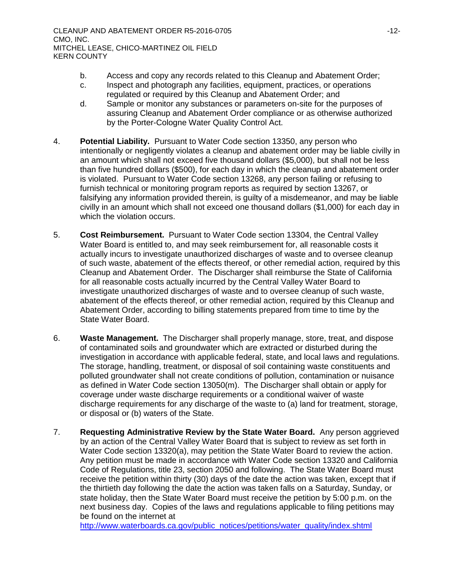- b. Access and copy any records related to this Cleanup and Abatement Order;
- c. Inspect and photograph any facilities, equipment, practices, or operations regulated or required by this Cleanup and Abatement Order; and
- d. Sample or monitor any substances or parameters on-site for the purposes of assuring Cleanup and Abatement Order compliance or as otherwise authorized by the Porter-Cologne Water Quality Control Act.
- 4. **Potential Liability.** Pursuant to Water Code section 13350, any person who intentionally or negligently violates a cleanup and abatement order may be liable civilly in an amount which shall not exceed five thousand dollars (\$5,000), but shall not be less than five hundred dollars (\$500), for each day in which the cleanup and abatement order is violated. Pursuant to Water Code section 13268, any person failing or refusing to furnish technical or monitoring program reports as required by section 13267, or falsifying any information provided therein, is guilty of a misdemeanor, and may be liable civilly in an amount which shall not exceed one thousand dollars (\$1,000) for each day in which the violation occurs.
- 5. **Cost Reimbursement.** Pursuant to Water Code section 13304, the Central Valley Water Board is entitled to, and may seek reimbursement for, all reasonable costs it actually incurs to investigate unauthorized discharges of waste and to oversee cleanup of such waste, abatement of the effects thereof, or other remedial action, required by this Cleanup and Abatement Order. The Discharger shall reimburse the State of California for all reasonable costs actually incurred by the Central Valley Water Board to investigate unauthorized discharges of waste and to oversee cleanup of such waste, abatement of the effects thereof, or other remedial action, required by this Cleanup and Abatement Order, according to billing statements prepared from time to time by the State Water Board.
- 6. **Waste Management.** The Discharger shall properly manage, store, treat, and dispose of contaminated soils and groundwater which are extracted or disturbed during the investigation in accordance with applicable federal, state, and local laws and regulations. The storage, handling, treatment, or disposal of soil containing waste constituents and polluted groundwater shall not create conditions of pollution, contamination or nuisance as defined in Water Code section 13050(m). The Discharger shall obtain or apply for coverage under waste discharge requirements or a conditional waiver of waste discharge requirements for any discharge of the waste to (a) land for treatment, storage, or disposal or (b) waters of the State.
- 7. **Requesting Administrative Review by the State Water Board.** Any person aggrieved by an action of the Central Valley Water Board that is subject to review as set forth in Water Code section 13320(a), may petition the State Water Board to review the action. Any petition must be made in accordance with Water Code section 13320 and California Code of Regulations, title 23, section 2050 and following. The State Water Board must receive the petition within thirty (30) days of the date the action was taken, except that if the thirtieth day following the date the action was taken falls on a Saturday, Sunday, or state holiday, then the State Water Board must receive the petition by 5:00 p.m. on the next business day. Copies of the laws and regulations applicable to filing petitions may be found on the internet at

[http://www.waterboards.ca.gov/public\\_notices/petitions/water\\_quality/index.shtml](http://www.waterboards.ca.gov/public_notices/petitions/water_quality/index.shtml)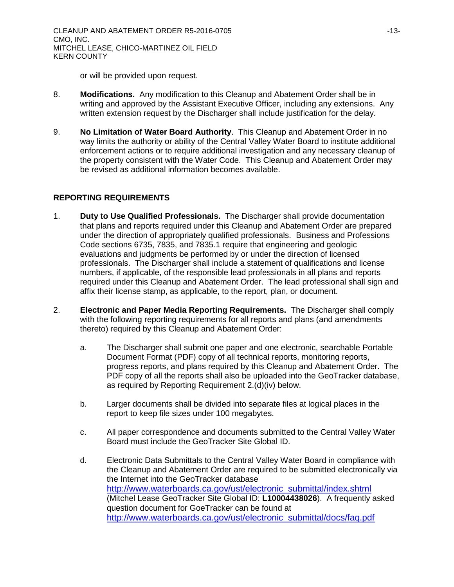or will be provided upon request.

- 8. **Modifications.** Any modification to this Cleanup and Abatement Order shall be in writing and approved by the Assistant Executive Officer, including any extensions. Any written extension request by the Discharger shall include justification for the delay.
- 9. **No Limitation of Water Board Authority**. This Cleanup and Abatement Order in no way limits the authority or ability of the Central Valley Water Board to institute additional enforcement actions or to require additional investigation and any necessary cleanup of the property consistent with the Water Code. This Cleanup and Abatement Order may be revised as additional information becomes available.

# **REPORTING REQUIREMENTS**

- 1. **Duty to Use Qualified Professionals.** The Discharger shall provide documentation that plans and reports required under this Cleanup and Abatement Order are prepared under the direction of appropriately qualified professionals. Business and Professions Code sections 6735, 7835, and 7835.1 require that engineering and geologic evaluations and judgments be performed by or under the direction of licensed professionals. The Discharger shall include a statement of qualifications and license numbers, if applicable, of the responsible lead professionals in all plans and reports required under this Cleanup and Abatement Order. The lead professional shall sign and affix their license stamp, as applicable, to the report, plan, or document.
- 2. **Electronic and Paper Media Reporting Requirements.** The Discharger shall comply with the following reporting requirements for all reports and plans (and amendments thereto) required by this Cleanup and Abatement Order:
	- a. The Discharger shall submit one paper and one electronic, searchable Portable Document Format (PDF) copy of all technical reports, monitoring reports, progress reports, and plans required by this Cleanup and Abatement Order. The PDF copy of all the reports shall also be uploaded into the GeoTracker database, as required by Reporting Requirement 2.(d)(iv) below.
	- b. Larger documents shall be divided into separate files at logical places in the report to keep file sizes under 100 megabytes.
	- c. All paper correspondence and documents submitted to the Central Valley Water Board must include the GeoTracker Site Global ID.
	- d. Electronic Data Submittals to the Central Valley Water Board in compliance with the Cleanup and Abatement Order are required to be submitted electronically via the Internet into the GeoTracker database [http://www.waterboards.ca.gov/ust/electronic\\_submittal/index.shtml](http://www.waterboards.ca.gov/ust/electronic_submittal/index.shtml) (Mitchel Lease GeoTracker Site Global ID: **L10004438026**). A frequently asked question document for GoeTracker can be found at [http://www.waterboards.ca.gov/ust/electronic\\_submittal/docs/faq.pdf](http://www.waterboards.ca.gov/ust/electronic_submittal/docs/faq.pdf)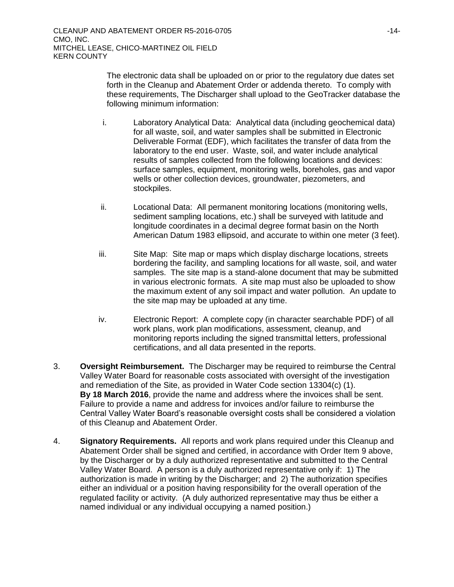The electronic data shall be uploaded on or prior to the regulatory due dates set forth in the Cleanup and Abatement Order or addenda thereto. To comply with these requirements, The Discharger shall upload to the GeoTracker database the following minimum information:

- i. Laboratory Analytical Data: Analytical data (including geochemical data) for all waste, soil, and water samples shall be submitted in Electronic Deliverable Format (EDF), which facilitates the transfer of data from the laboratory to the end user. Waste, soil, and water include analytical results of samples collected from the following locations and devices: surface samples, equipment, monitoring wells, boreholes, gas and vapor wells or other collection devices, groundwater, piezometers, and stockpiles.
- ii. Locational Data: All permanent monitoring locations (monitoring wells, sediment sampling locations, etc.) shall be surveyed with latitude and longitude coordinates in a decimal degree format basin on the North American Datum 1983 ellipsoid, and accurate to within one meter (3 feet).
- iii. Site Map: Site map or maps which display discharge locations, streets bordering the facility, and sampling locations for all waste, soil, and water samples. The site map is a stand-alone document that may be submitted in various electronic formats. A site map must also be uploaded to show the maximum extent of any soil impact and water pollution. An update to the site map may be uploaded at any time.
- iv. Electronic Report: A complete copy (in character searchable PDF) of all work plans, work plan modifications, assessment, cleanup, and monitoring reports including the signed transmittal letters, professional certifications, and all data presented in the reports.
- 3. **Oversight Reimbursement.** The Discharger may be required to reimburse the Central Valley Water Board for reasonable costs associated with oversight of the investigation and remediation of the Site, as provided in Water Code section 13304(c) (1). **By 18 March 2016**, provide the name and address where the invoices shall be sent. Failure to provide a name and address for invoices and/or failure to reimburse the Central Valley Water Board's reasonable oversight costs shall be considered a violation of this Cleanup and Abatement Order.
- 4. **Signatory Requirements.** All reports and work plans required under this Cleanup and Abatement Order shall be signed and certified, in accordance with Order Item 9 above, by the Discharger or by a duly authorized representative and submitted to the Central Valley Water Board. A person is a duly authorized representative only if: 1) The authorization is made in writing by the Discharger; and 2) The authorization specifies either an individual or a position having responsibility for the overall operation of the regulated facility or activity. (A duly authorized representative may thus be either a named individual or any individual occupying a named position.)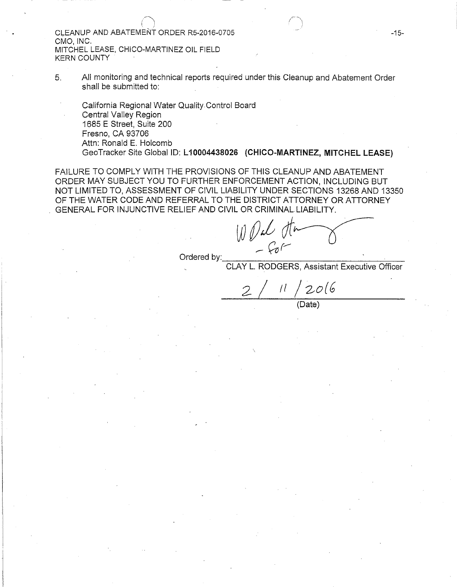CLEANUP AND ABATEMENt ORDER RS-2016-0705 CMO, INC. MITCHEL LEASE, CHICO-MARTINEZ OIL FIELD KERN COUNTY

 $($   $\wedge$ 

5. All monitoring and technical reports required under this Cleanup and Abatement Order shall be submitted to:

California Regional Water Quality Control Board Central Valley Region 1685 E Street, Suite 200 Fresno, CA 93706 Attn: Ronald E. Holcomb GeoTracker Site Global ID: L10004438026 (CHICO-MARTINEZ, MITCHEL LEASE)

FAILURE TO COMPLY WITH THE PROVISIONS OF THIS CLEANUP AND ABATEMENT ORDER MAY SUBJECT YOU TO FURTHER ENFORCEMENT ACTION, INCLUDING BUT NOT LIMITED TO, ASSESSMENT OF CIVIL LIABILITY UNDER SECTIONS 13268 AND 13350 OF THE WATER CODE AND REFERRAL TO THE DISTRICT ATTORNEY OR ATTORNEY GENERAL FOR INJUNCTIVE RELIEF AND CIVIL OR CRIMINAL. LIABILITY.

 $WPL$  the set of the set of the set of the set of the set of the set of the set of the set of the set of the set of the set of the set of the set of the set of the set of the set of the set of the set of the set of the set

CLAY L. RODGERS, Assistant Executive Officer

*2* / 11 / zo(G (Date)

-15-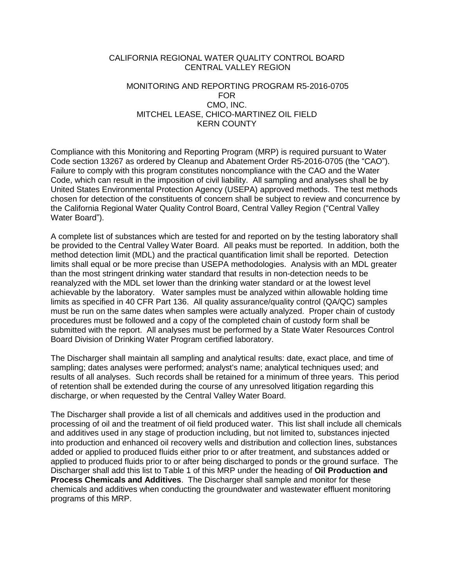#### CALIFORNIA REGIONAL WATER QUALITY CONTROL BOARD CENTRAL VALLEY REGION

### MONITORING AND REPORTING PROGRAM R5-2016-0705 FOR CMO, INC. MITCHEL LEASE, CHICO-MARTINEZ OIL FIELD KERN COUNTY

Compliance with this Monitoring and Reporting Program (MRP) is required pursuant to Water Code section 13267 as ordered by Cleanup and Abatement Order R5-2016-0705 (the "CAO"). Failure to comply with this program constitutes noncompliance with the CAO and the Water Code, which can result in the imposition of civil liability. All sampling and analyses shall be by United States Environmental Protection Agency (USEPA) approved methods. The test methods chosen for detection of the constituents of concern shall be subject to review and concurrence by the California Regional Water Quality Control Board, Central Valley Region ("Central Valley Water Board").

A complete list of substances which are tested for and reported on by the testing laboratory shall be provided to the Central Valley Water Board. All peaks must be reported. In addition, both the method detection limit (MDL) and the practical quantification limit shall be reported. Detection limits shall equal or be more precise than USEPA methodologies. Analysis with an MDL greater than the most stringent drinking water standard that results in non-detection needs to be reanalyzed with the MDL set lower than the drinking water standard or at the lowest level achievable by the laboratory. Water samples must be analyzed within allowable holding time limits as specified in 40 CFR Part 136. All quality assurance/quality control (QA/QC) samples must be run on the same dates when samples were actually analyzed. Proper chain of custody procedures must be followed and a copy of the completed chain of custody form shall be submitted with the report. All analyses must be performed by a State Water Resources Control Board Division of Drinking Water Program certified laboratory.

The Discharger shall maintain all sampling and analytical results: date, exact place, and time of sampling; dates analyses were performed; analyst's name; analytical techniques used; and results of all analyses. Such records shall be retained for a minimum of three years. This period of retention shall be extended during the course of any unresolved litigation regarding this discharge, or when requested by the Central Valley Water Board.

The Discharger shall provide a list of all chemicals and additives used in the production and processing of oil and the treatment of oil field produced water. This list shall include all chemicals and additives used in any stage of production including, but not limited to, substances injected into production and enhanced oil recovery wells and distribution and collection lines, substances added or applied to produced fluids either prior to or after treatment, and substances added or applied to produced fluids prior to or after being discharged to ponds or the ground surface. The Discharger shall add this list to Table 1 of this MRP under the heading of **Oil Production and Process Chemicals and Additives**. The Discharger shall sample and monitor for these chemicals and additives when conducting the groundwater and wastewater effluent monitoring programs of this MRP.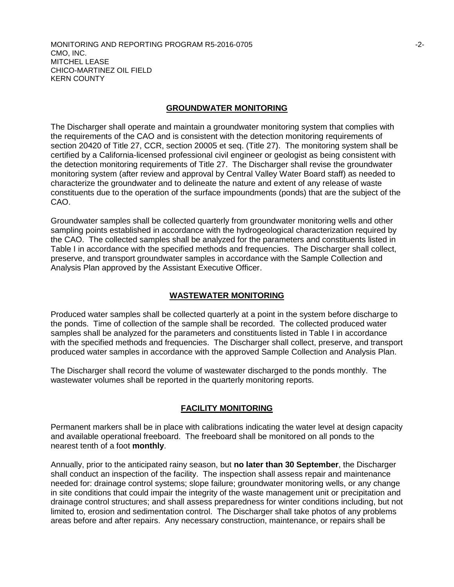MONITORING AND REPORTING PROGRAM R5-2016-0705 -2- CMO, INC. MITCHEL LEASE CHICO-MARTINEZ OIL FIELD KERN COUNTY

#### **GROUNDWATER MONITORING**

The Discharger shall operate and maintain a groundwater monitoring system that complies with the requirements of the CAO and is consistent with the detection monitoring requirements of section 20420 of Title 27, CCR, section 20005 et seq. (Title 27). The monitoring system shall be certified by a California-licensed professional civil engineer or geologist as being consistent with the detection monitoring requirements of Title 27. The Discharger shall revise the groundwater monitoring system (after review and approval by Central Valley Water Board staff) as needed to characterize the groundwater and to delineate the nature and extent of any release of waste constituents due to the operation of the surface impoundments (ponds) that are the subject of the CAO.

Groundwater samples shall be collected quarterly from groundwater monitoring wells and other sampling points established in accordance with the hydrogeological characterization required by the CAO. The collected samples shall be analyzed for the parameters and constituents listed in Table I in accordance with the specified methods and frequencies. The Discharger shall collect, preserve, and transport groundwater samples in accordance with the Sample Collection and Analysis Plan approved by the Assistant Executive Officer.

#### **WASTEWATER MONITORING**

Produced water samples shall be collected quarterly at a point in the system before discharge to the ponds. Time of collection of the sample shall be recorded. The collected produced water samples shall be analyzed for the parameters and constituents listed in Table I in accordance with the specified methods and frequencies. The Discharger shall collect, preserve, and transport produced water samples in accordance with the approved Sample Collection and Analysis Plan.

The Discharger shall record the volume of wastewater discharged to the ponds monthly. The wastewater volumes shall be reported in the quarterly monitoring reports.

# **FACILITY MONITORING**

Permanent markers shall be in place with calibrations indicating the water level at design capacity and available operational freeboard. The freeboard shall be monitored on all ponds to the nearest tenth of a foot **monthly**.

Annually, prior to the anticipated rainy season, but **no later than 30 September**, the Discharger shall conduct an inspection of the facility. The inspection shall assess repair and maintenance needed for: drainage control systems; slope failure; groundwater monitoring wells, or any change in site conditions that could impair the integrity of the waste management unit or precipitation and drainage control structures; and shall assess preparedness for winter conditions including, but not limited to, erosion and sedimentation control. The Discharger shall take photos of any problems areas before and after repairs. Any necessary construction, maintenance, or repairs shall be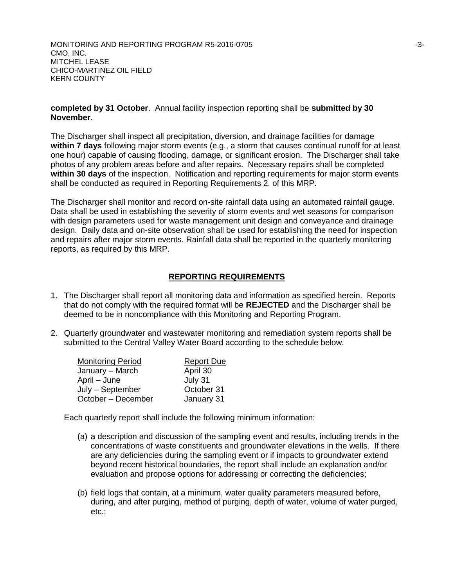MONITORING AND REPORTING PROGRAM R5-2016-0705 **FINDING** 13-3-CMO, INC. MITCHEL LEASE CHICO-MARTINEZ OIL FIELD KERN COUNTY

### **completed by 31 October**. Annual facility inspection reporting shall be **submitted by 30 November**.

The Discharger shall inspect all precipitation, diversion, and drainage facilities for damage **within 7 days** following major storm events (e.g., a storm that causes continual runoff for at least one hour) capable of causing flooding, damage, or significant erosion. The Discharger shall take photos of any problem areas before and after repairs. Necessary repairs shall be completed **within 30 days** of the inspection. Notification and reporting requirements for major storm events shall be conducted as required in Reporting Requirements 2. of this MRP.

The Discharger shall monitor and record on-site rainfall data using an automated rainfall gauge. Data shall be used in establishing the severity of storm events and wet seasons for comparison with design parameters used for waste management unit design and conveyance and drainage design. Daily data and on-site observation shall be used for establishing the need for inspection and repairs after major storm events. Rainfall data shall be reported in the quarterly monitoring reports, as required by this MRP.

# **REPORTING REQUIREMENTS**

- 1. The Discharger shall report all monitoring data and information as specified herein. Reports that do not comply with the required format will be **REJECTED** and the Discharger shall be deemed to be in noncompliance with this Monitoring and Reporting Program.
- 2. Quarterly groundwater and wastewater monitoring and remediation system reports shall be submitted to the Central Valley Water Board according to the schedule below.

| <b>Monitoring Period</b> | <b>Report Due</b> |
|--------------------------|-------------------|
| January - March          | April 30          |
| April – June             | July 31           |
| July - September         | October 31        |
| October - December       | January 31        |

Each quarterly report shall include the following minimum information:

- (a) a description and discussion of the sampling event and results, including trends in the concentrations of waste constituents and groundwater elevations in the wells. If there are any deficiencies during the sampling event or if impacts to groundwater extend beyond recent historical boundaries, the report shall include an explanation and/or evaluation and propose options for addressing or correcting the deficiencies;
- (b) field logs that contain, at a minimum, water quality parameters measured before, during, and after purging, method of purging, depth of water, volume of water purged, etc.;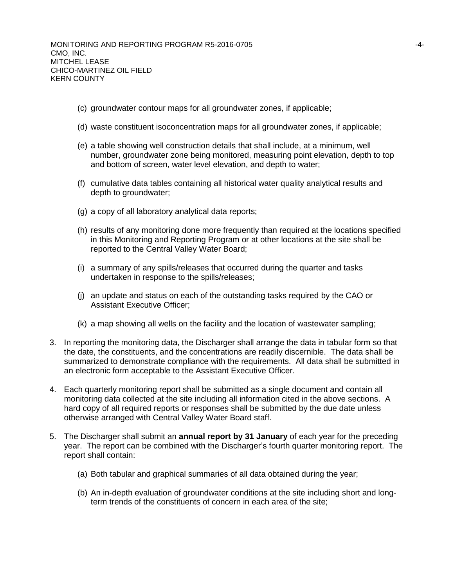- (c) groundwater contour maps for all groundwater zones, if applicable;
- (d) waste constituent isoconcentration maps for all groundwater zones, if applicable;
- (e) a table showing well construction details that shall include, at a minimum, well number, groundwater zone being monitored, measuring point elevation, depth to top and bottom of screen, water level elevation, and depth to water;
- (f) cumulative data tables containing all historical water quality analytical results and depth to groundwater;
- (g) a copy of all laboratory analytical data reports;
- (h) results of any monitoring done more frequently than required at the locations specified in this Monitoring and Reporting Program or at other locations at the site shall be reported to the Central Valley Water Board;
- (i) a summary of any spills/releases that occurred during the quarter and tasks undertaken in response to the spills/releases;
- (j) an update and status on each of the outstanding tasks required by the CAO or Assistant Executive Officer;
- (k) a map showing all wells on the facility and the location of wastewater sampling;
- 3. In reporting the monitoring data, the Discharger shall arrange the data in tabular form so that the date, the constituents, and the concentrations are readily discernible. The data shall be summarized to demonstrate compliance with the requirements. All data shall be submitted in an electronic form acceptable to the Assistant Executive Officer.
- 4. Each quarterly monitoring report shall be submitted as a single document and contain all monitoring data collected at the site including all information cited in the above sections. A hard copy of all required reports or responses shall be submitted by the due date unless otherwise arranged with Central Valley Water Board staff.
- 5. The Discharger shall submit an **annual report by 31 January** of each year for the preceding year. The report can be combined with the Discharger's fourth quarter monitoring report. The report shall contain:
	- (a) Both tabular and graphical summaries of all data obtained during the year;
	- (b) An in-depth evaluation of groundwater conditions at the site including short and longterm trends of the constituents of concern in each area of the site;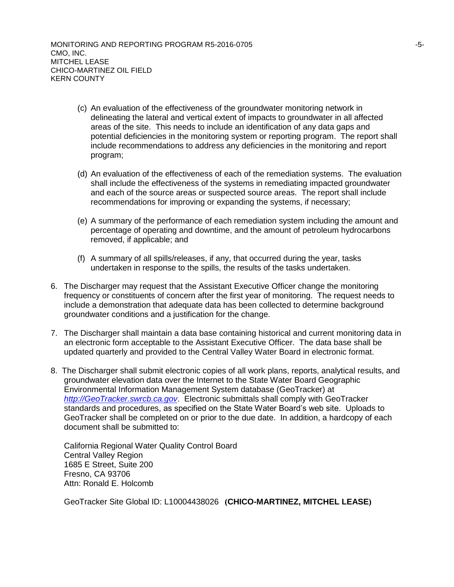- (c) An evaluation of the effectiveness of the groundwater monitoring network in delineating the lateral and vertical extent of impacts to groundwater in all affected areas of the site. This needs to include an identification of any data gaps and potential deficiencies in the monitoring system or reporting program. The report shall include recommendations to address any deficiencies in the monitoring and report program;
- (d) An evaluation of the effectiveness of each of the remediation systems. The evaluation shall include the effectiveness of the systems in remediating impacted groundwater and each of the source areas or suspected source areas. The report shall include recommendations for improving or expanding the systems, if necessary;
- (e) A summary of the performance of each remediation system including the amount and percentage of operating and downtime, and the amount of petroleum hydrocarbons removed, if applicable; and
- (f) A summary of all spills/releases, if any, that occurred during the year, tasks undertaken in response to the spills, the results of the tasks undertaken.
- 6. The Discharger may request that the Assistant Executive Officer change the monitoring frequency or constituents of concern after the first year of monitoring. The request needs to include a demonstration that adequate data has been collected to determine background groundwater conditions and a justification for the change.
- 7. The Discharger shall maintain a data base containing historical and current monitoring data in an electronic form acceptable to the Assistant Executive Officer. The data base shall be updated quarterly and provided to the Central Valley Water Board in electronic format.
- 8. The Discharger shall submit electronic copies of all work plans, reports, analytical results, and groundwater elevation data over the Internet to the State Water Board Geographic Environmental Information Management System database (GeoTracker) at *[http://GeoTracker.swrcb.ca.gov](http://geotracker.swrcb.ca.gov/)*. Electronic submittals shall comply with GeoTracker standards and procedures, as specified on the State Water Board's web site. Uploads to GeoTracker shall be completed on or prior to the due date. In addition, a hardcopy of each document shall be submitted to:

California Regional Water Quality Control Board Central Valley Region 1685 E Street, Suite 200 Fresno, CA 93706 Attn: Ronald E. Holcomb

GeoTracker Site Global ID: L10004438026 **(CHICO-MARTINEZ, MITCHEL LEASE)**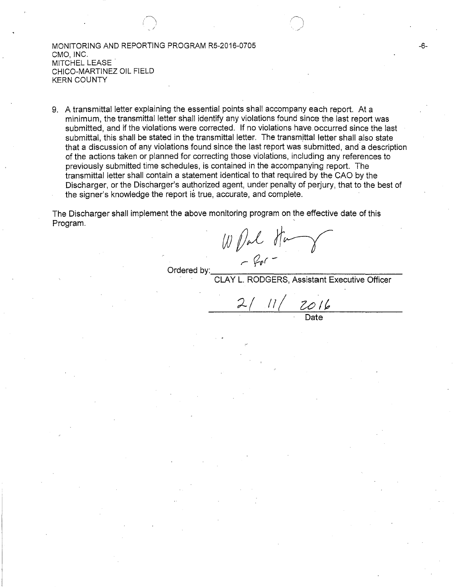MONITORING AND REPORTING PROGRAM R5-2016-0705 CMO, INC. MITCHEL LEASE CHICO-MARTINEZ OIL FIELD KERN COUNTY

i~'j  $\Box$ 

9. A transmittal letter explaining the essential points shall accompany each report. At a minimum, the transmittal letter shall identify any violations found since the last report was submitted, and if the violations were corrected. If no violations have, occurred since the last submittal, this shall be stated in the transmittal letter. The transmittal letter shall also state that a discussion of any violations found since the last report was submitted, and, a description of the actions taken or planned for correcting those violations, including any references to previously submitted time schedules, is contained in the accompanying report. The transmittal letter shall contain a statement identical to that required by the GAO by the Discharger, or the Discharger's authorized agent, under penalty of perjury, that to the best of the signer's knowledge the report is true, accurate, and complete.

The Discharger shall implement the above monitoring program on the effective date of this Program. The contract of the contract of the contract of the contract of the contract of the contract of the contract of the contract of the contract of the contract of the contract of the contract of the contract of the c

*wDal* Ham *r (/-u.r* - Ordered by: \_\_\_\_\_\_\_\_\_\_\_\_\_\_\_\_\_\_ \_

RODGERS, Assistant Executive Officer

 $\frac{11}{\sqrt{2016}}$ 

-6-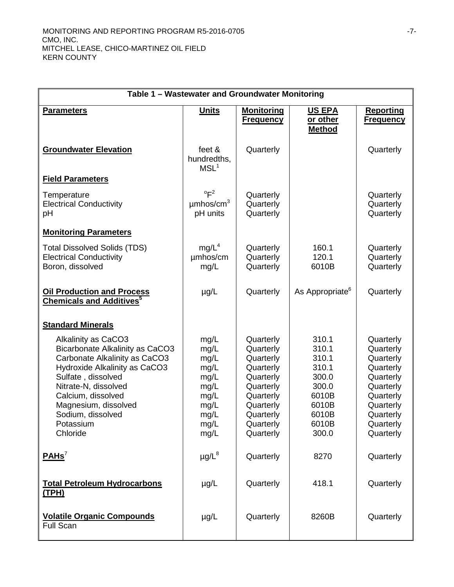| Table 1 - Wastewater and Groundwater Monitoring                                                                                                                                                                                                                           |                                                                                      |                                                                                                                                             |                                                                                                 |                                                                                                                                             |  |
|---------------------------------------------------------------------------------------------------------------------------------------------------------------------------------------------------------------------------------------------------------------------------|--------------------------------------------------------------------------------------|---------------------------------------------------------------------------------------------------------------------------------------------|-------------------------------------------------------------------------------------------------|---------------------------------------------------------------------------------------------------------------------------------------------|--|
| <b>Parameters</b>                                                                                                                                                                                                                                                         | <b>Units</b>                                                                         | <b>Monitoring</b><br><b>Frequency</b>                                                                                                       | <b>US EPA</b><br>or other<br><b>Method</b>                                                      | <b>Reporting</b><br><u>Frequency</u>                                                                                                        |  |
| <b>Groundwater Elevation</b>                                                                                                                                                                                                                                              | feet &<br>hundredths,<br>MSL <sup>1</sup>                                            | Quarterly                                                                                                                                   |                                                                                                 | Quarterly                                                                                                                                   |  |
| <b>Field Parameters</b>                                                                                                                                                                                                                                                   |                                                                                      |                                                                                                                                             |                                                                                                 |                                                                                                                                             |  |
| Temperature<br><b>Electrical Conductivity</b><br>pH                                                                                                                                                                                                                       | $^{\circ}$ F <sup>2</sup><br>$\mu$ mhos/cm <sup>3</sup><br>pH units                  | Quarterly<br>Quarterly<br>Quarterly                                                                                                         |                                                                                                 | Quarterly<br>Quarterly<br>Quarterly                                                                                                         |  |
| <b>Monitoring Parameters</b>                                                                                                                                                                                                                                              |                                                                                      |                                                                                                                                             |                                                                                                 |                                                                                                                                             |  |
| <b>Total Dissolved Solids (TDS)</b><br><b>Electrical Conductivity</b><br>Boron, dissolved                                                                                                                                                                                 | mg/L <sup>4</sup><br>umhos/cm<br>mg/L                                                | Quarterly<br>Quarterly<br>Quarterly                                                                                                         | 160.1<br>120.1<br>6010B                                                                         | Quarterly<br>Quarterly<br>Quarterly                                                                                                         |  |
| <b>Oil Production and Process</b><br><b>Chemicals and Additives</b> <sup>5</sup>                                                                                                                                                                                          | $\mu$ g/L                                                                            | Quarterly                                                                                                                                   | As Appropriate <sup>6</sup>                                                                     | Quarterly                                                                                                                                   |  |
| <b>Standard Minerals</b>                                                                                                                                                                                                                                                  |                                                                                      |                                                                                                                                             |                                                                                                 |                                                                                                                                             |  |
| Alkalinity as CaCO3<br><b>Bicarbonate Alkalinity as CaCO3</b><br>Carbonate Alkalinity as CaCO3<br>Hydroxide Alkalinity as CaCO3<br>Sulfate, dissolved<br>Nitrate-N, dissolved<br>Calcium, dissolved<br>Magnesium, dissolved<br>Sodium, dissolved<br>Potassium<br>Chloride | mg/L<br>mg/L<br>mg/L<br>mg/L<br>mg/L<br>mg/L<br>mg/L<br>mg/L<br>mg/L<br>mg/L<br>mg/L | Quarterly<br>Quarterly<br>Quarterly<br>Quarterly<br>Quarterly<br>Quarterly<br>Quarterly<br>Quarterly<br>Quarterly<br>Quarterly<br>Quarterly | 310.1<br>310.1<br>310.1<br>310.1<br>300.0<br>300.0<br>6010B<br>6010B<br>6010B<br>6010B<br>300.0 | Quarterly<br>Quarterly<br>Quarterly<br>Quarterly<br>Quarterly<br>Quarterly<br>Quarterly<br>Quarterly<br>Quarterly<br>Quarterly<br>Quarterly |  |
| $PAHS^7$                                                                                                                                                                                                                                                                  | $\mu$ g/L $^8$                                                                       | Quarterly                                                                                                                                   | 8270                                                                                            | Quarterly                                                                                                                                   |  |
| <b>Total Petroleum Hydrocarbons</b><br><u>(TPH)</u>                                                                                                                                                                                                                       | $\mu$ g/L                                                                            | Quarterly                                                                                                                                   | 418.1                                                                                           | Quarterly                                                                                                                                   |  |
| <b>Volatile Organic Compounds</b><br><b>Full Scan</b>                                                                                                                                                                                                                     | $\mu$ g/L                                                                            | Quarterly                                                                                                                                   | 8260B                                                                                           | Quarterly                                                                                                                                   |  |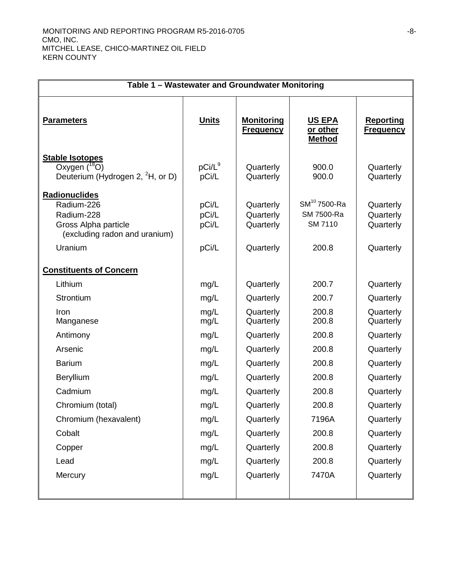| Table 1 - Wastewater and Groundwater Monitoring                                                               |                                  |                                                  |                                                     |                                                  |
|---------------------------------------------------------------------------------------------------------------|----------------------------------|--------------------------------------------------|-----------------------------------------------------|--------------------------------------------------|
| <b>Parameters</b>                                                                                             | <b>Units</b>                     | <u>Monitoring</u><br><b>Frequency</b>            | <b>US EPA</b><br>or other<br><b>Method</b>          | <b>Reporting</b><br><b>Frequency</b>             |
| <b>Stable Isotopes</b><br>Oxygen $(^{18}O)$<br>Deuterium (Hydrogen 2, <sup>2</sup> H, or D)                   | $pCi/L^9$<br>pCi/L               | Quarterly<br>Quarterly                           | 900.0<br>900.0                                      | Quarterly<br>Quarterly                           |
| Radionuclides<br>Radium-226<br>Radium-228<br>Gross Alpha particle<br>(excluding radon and uranium)<br>Uranium | pCi/L<br>pCi/L<br>pCi/L<br>pCi/L | Quarterly<br>Quarterly<br>Quarterly<br>Quarterly | $SM^{10}$ 7500-Ra<br>SM 7500-Ra<br>SM 7110<br>200.8 | Quarterly<br>Quarterly<br>Quarterly<br>Quarterly |
| <b>Constituents of Concern</b>                                                                                |                                  |                                                  |                                                     |                                                  |
| Lithium                                                                                                       | mg/L                             | Quarterly                                        | 200.7                                               | Quarterly                                        |
| Strontium                                                                                                     | mg/L                             | Quarterly                                        | 200.7                                               | Quarterly                                        |
| Iron<br>Manganese                                                                                             | mg/L<br>mg/L                     | Quarterly<br>Quarterly                           | 200.8<br>200.8                                      | Quarterly<br>Quarterly                           |
| Antimony                                                                                                      | mg/L                             | Quarterly                                        | 200.8                                               | Quarterly                                        |
| Arsenic                                                                                                       | mg/L                             | Quarterly                                        | 200.8                                               | Quarterly                                        |
| <b>Barium</b>                                                                                                 | mg/L                             | Quarterly                                        | 200.8                                               | Quarterly                                        |
| Beryllium                                                                                                     | mg/L                             | Quarterly                                        | 200.8                                               | Quarterly                                        |
| Cadmium                                                                                                       | mg/L                             | Quarterly                                        | 200.8                                               | Quarterly                                        |
| Chromium (total)                                                                                              | mg/L                             | Quarterly                                        | 200.8                                               | Quarterly                                        |
| Chromium (hexavalent)                                                                                         | mg/L                             | Quarterly                                        | 7196A                                               | Quarterly                                        |
| Cobalt                                                                                                        | mg/L                             | Quarterly                                        | 200.8                                               | Quarterly                                        |
| Copper                                                                                                        | mg/L                             | Quarterly                                        | 200.8                                               | Quarterly                                        |
| Lead                                                                                                          | mg/L                             | Quarterly                                        | 200.8                                               | Quarterly                                        |
| Mercury                                                                                                       | mg/L                             | Quarterly                                        | 7470A                                               | Quarterly                                        |